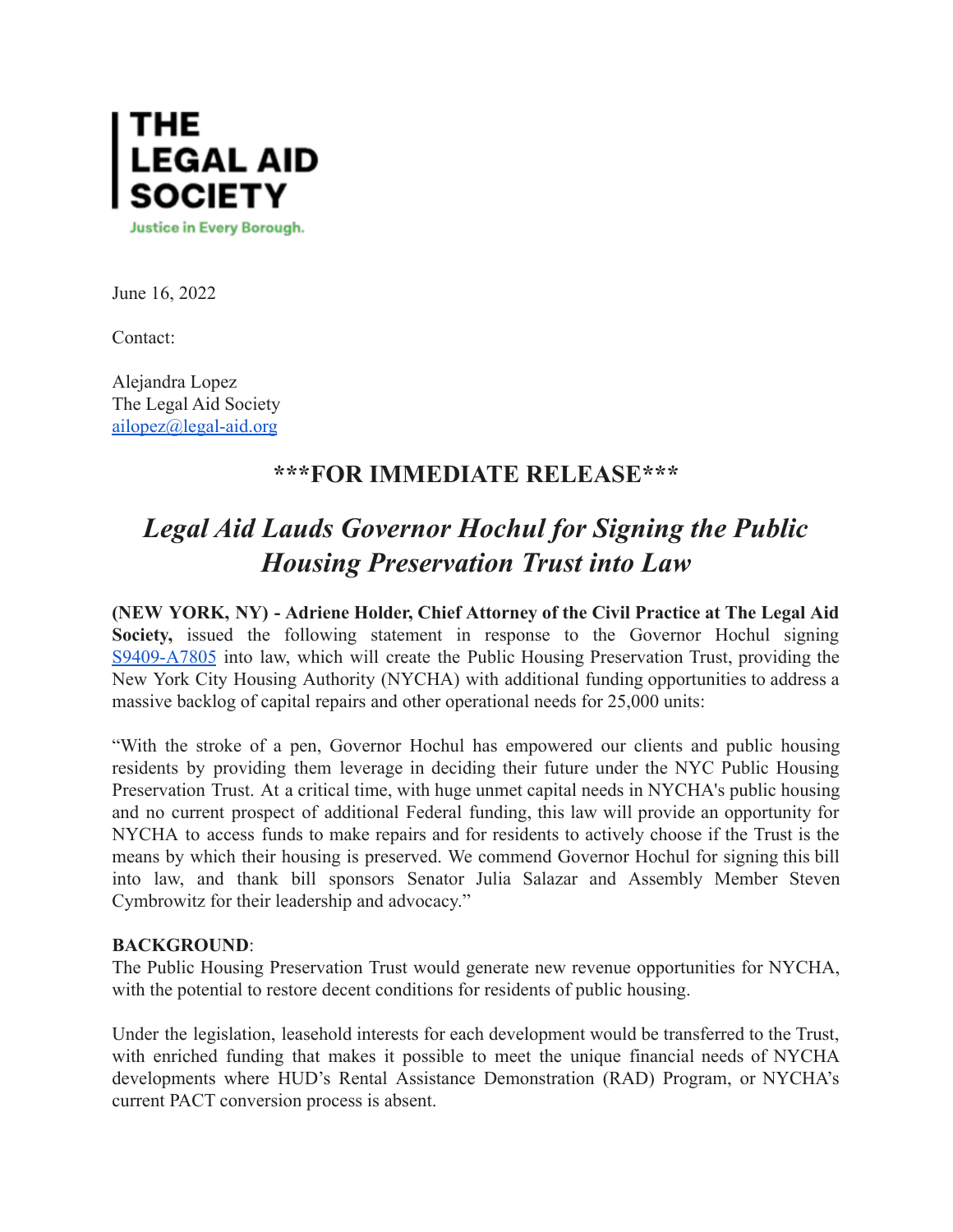

June 16, 2022

Contact:

Alejandra Lopez The Legal Aid Society [ailopez@legal-aid.org](mailto:ailopez@legal-aid.org)

## **\*\*\*FOR IMMEDIATE RELEASE\*\*\***

## *Legal Aid Lauds Governor Hochul for Signing the Public Housing Preservation Trust into Law*

**(NEW YORK, NY) - Adriene Holder, Chief Attorney of the Civil Practice at The Legal Aid Society,** issued the following statement in response to the Governor Hochul signin[g](https://nam10.safelinks.protection.outlook.com/?url=https%3A%2F%2Fnyassembly.gov%2Fleg%2F%3Fbn%3DA07805%26term%3D2021&data=05%7C01%7CJVacanti%40legal-aid.org%7Cee54e151dd9546e1ff7808da4faf646e%7Cf226ccf384ef49ca9b0a9b565b2f0f06%7C0%7C0%7C637909911991971464%7CUnknown%7CTWFpbGZsb3d8eyJWIjoiMC4wLjAwMDAiLCJQIjoiV2luMzIiLCJBTiI6Ik1haWwiLCJXVCI6Mn0%3D%7C3000%7C%7C%7C&sdata=A%2B8sDuUYxM24Y4J4FmOCTFwQHcyeLEYF3HUL%2FxSczGY%3D&reserved=0) [S9409-A7805](https://nam10.safelinks.protection.outlook.com/?url=https%3A%2F%2Fnyassembly.gov%2Fleg%2F%3Fbn%3DA07805%26term%3D2021&data=05%7C01%7CJVacanti%40legal-aid.org%7Cee54e151dd9546e1ff7808da4faf646e%7Cf226ccf384ef49ca9b0a9b565b2f0f06%7C0%7C0%7C637909911991971464%7CUnknown%7CTWFpbGZsb3d8eyJWIjoiMC4wLjAwMDAiLCJQIjoiV2luMzIiLCJBTiI6Ik1haWwiLCJXVCI6Mn0%3D%7C3000%7C%7C%7C&sdata=A%2B8sDuUYxM24Y4J4FmOCTFwQHcyeLEYF3HUL%2FxSczGY%3D&reserved=0) into law, which will create the Public Housing Preservation Trust, providing the New York City Housing Authority (NYCHA) with additional funding opportunities to address a massive backlog of capital repairs and other operational needs for 25,000 units:

"With the stroke of a pen, Governor Hochul has empowered our clients and public housing residents by providing them leverage in deciding their future under the NYC Public Housing Preservation Trust. At a critical time, with huge unmet capital needs in NYCHA's public housing and no current prospect of additional Federal funding, this law will provide an opportunity for NYCHA to access funds to make repairs and for residents to actively choose if the Trust is the means by which their housing is preserved. We commend Governor Hochul for signing this bill into law, and thank bill sponsors Senator Julia Salazar and Assembly Member Steven Cymbrowitz for their leadership and advocacy."

## **BACKGROUND**:

The Public Housing Preservation Trust would generate new revenue opportunities for NYCHA, with the potential to restore decent conditions for residents of public housing.

Under the legislation, leasehold interests for each development would be transferred to the Trust, with enriched funding that makes it possible to meet the unique financial needs of NYCHA developments where HUD's Rental Assistance Demonstration (RAD) Program, or NYCHA's current PACT conversion process is absent.